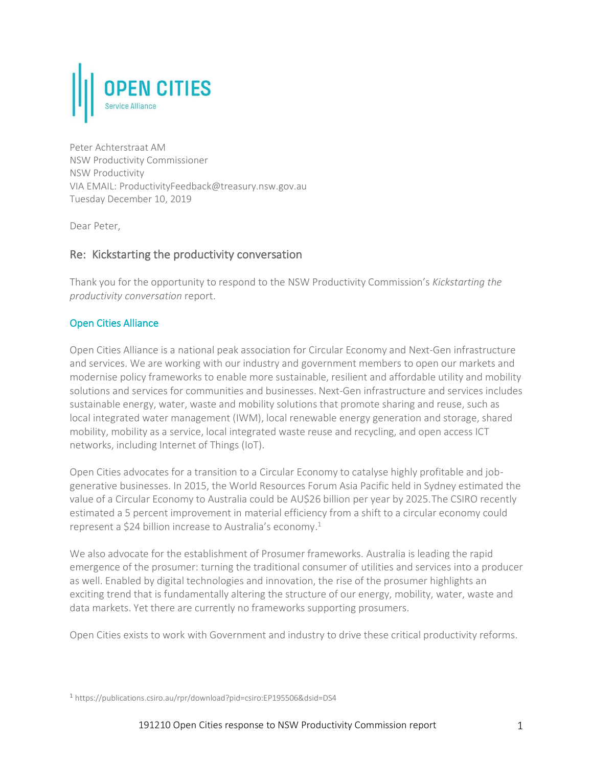

Peter Achterstraat AM NSW Productivity Commissioner NSW Productivity VIA EMAIL: ProductivityFeedback@treasury.nsw.gov.au Tuesday December 10, 2019

Dear Peter,

# Re: Kickstarting the productivity conversation

Thank you for the opportunity to respond to the NSW Productivity Commission's *Kickstarting the productivity conversation* report.

# Open Cities Alliance

Open Cities Alliance is a national peak association for Circular Economy and Next-Gen infrastructure and services. We are working with our industry and government members to open our markets and modernise policy frameworks to enable more sustainable, resilient and affordable utility and mobility solutions and services for communities and businesses. Next-Gen infrastructure and services includes sustainable energy, water, waste and mobility solutions that promote sharing and reuse, such as local integrated water management (IWM), local renewable energy generation and storage, shared mobility, mobility as a service, local integrated waste reuse and recycling, and open access ICT networks, including Internet of Things (IoT).

Open Cities advocates for a transition to a Circular Economy to catalyse highly profitable and jobgenerative businesses. In 2015, the World Resources Forum Asia Pacific held in Sydney estimated the value of a Circular Economy to Australia could be AU\$26 billion per year by 2025.The CSIRO recently estimated a 5 percent improvement in material efficiency from a shift to a circular economy could represent a \$24 billion increase to Australia's economy. 1

We also advocate for the establishment of Prosumer frameworks. Australia is leading the rapid emergence of the prosumer: turning the traditional consumer of utilities and services into a producer as well. Enabled by digital technologies and innovation, the rise of the prosumer highlights an exciting trend that is fundamentally altering the structure of our energy, mobility, water, waste and data markets. Yet there are currently no frameworks supporting prosumers.

Open Cities exists to work with Government and industry to drive these critical productivity reforms.

<sup>1</sup> https://publications.csiro.au/rpr/download?pid=csiro:EP195506&dsid=DS4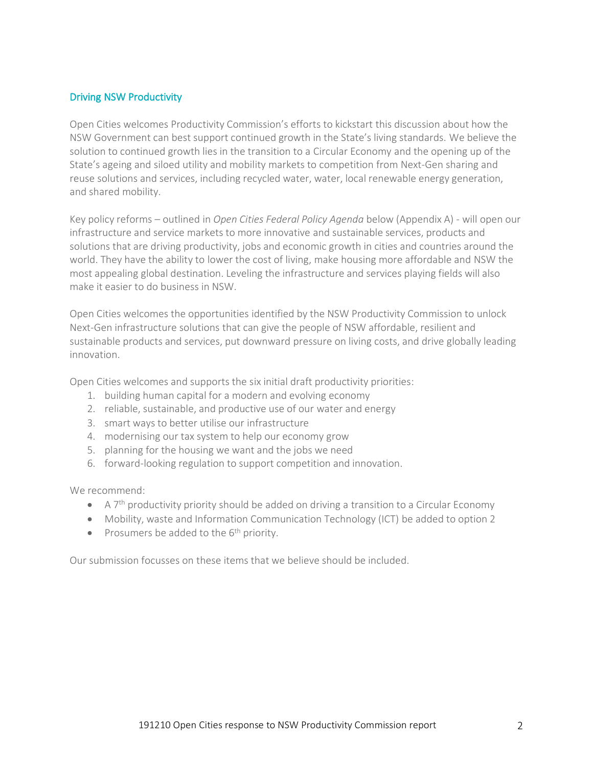#### Driving NSW Productivity

Open Cities welcomes Productivity Commission's efforts to kickstart this discussion about how the NSW Government can best support continued growth in the State's living standards. We believe the solution to continued growth lies in the transition to a Circular Economy and the opening up of the State's ageing and siloed utility and mobility markets to competition from Next-Gen sharing and reuse solutions and services, including recycled water, water, local renewable energy generation, and shared mobility.

Key policy reforms – outlined in *Open Cities Federal Policy Agenda* below (Appendix A) - will open our infrastructure and service markets to more innovative and sustainable services, products and solutions that are driving productivity, jobs and economic growth in cities and countries around the world. They have the ability to lower the cost of living, make housing more affordable and NSW the most appealing global destination. Leveling the infrastructure and services playing fields will also make it easier to do business in NSW.

Open Cities welcomes the opportunities identified by the NSW Productivity Commission to unlock Next-Gen infrastructure solutions that can give the people of NSW affordable, resilient and sustainable products and services, put downward pressure on living costs, and drive globally leading innovation.

Open Cities welcomes and supports the six initial draft productivity priorities:

- 1. building human capital for a modern and evolving economy
- 2. reliable, sustainable, and productive use of our water and energy
- 3. smart ways to better utilise our infrastructure
- 4. modernising our tax system to help our economy grow
- 5. planning for the housing we want and the jobs we need
- 6. forward-looking regulation to support competition and innovation.

We recommend:

- A 7<sup>th</sup> productivity priority should be added on driving a transition to a Circular Economy
- Mobility, waste and Information Communication Technology (ICT) be added to option 2
- Prosumers be added to the 6<sup>th</sup> priority.

Our submission focusses on these items that we believe should be included.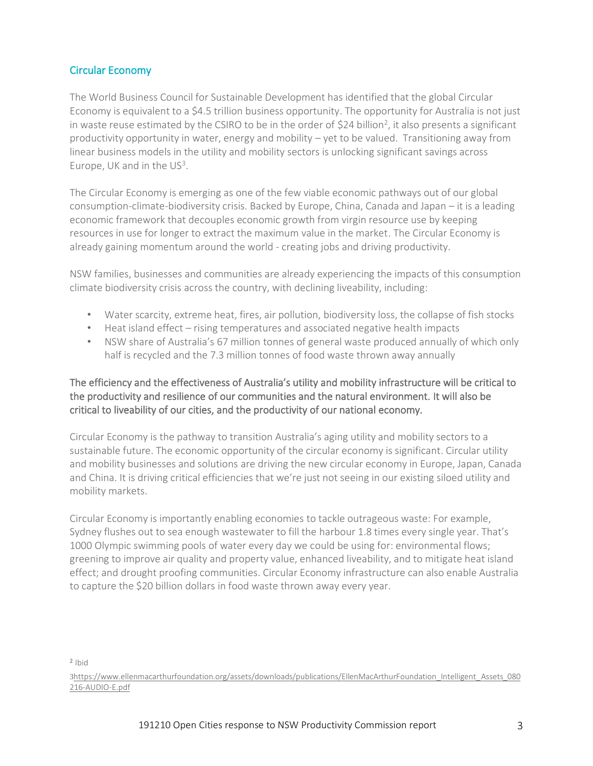# Circular Economy

The World Business Council for Sustainable Development has identified that the global Circular Economy is equivalent to a \$4.5 trillion business opportunity. The opportunity for Australia is not just in waste reuse estimated by the CSIRO to be in the order of \$24 billion<sup>2</sup>, it also presents a significant productivity opportunity in water, energy and mobility – yet to be valued. Transitioning away from linear business models in the utility and mobility sectors is unlocking significant savings across Europe, UK and in the US<sup>3</sup>.

The Circular Economy is emerging as one of the few viable economic pathways out of our global consumption-climate-biodiversity crisis. Backed by Europe, China, Canada and Japan – it is a leading economic framework that decouples economic growth from virgin resource use by keeping resources in use for longer to extract the maximum value in the market. The Circular Economy is already gaining momentum around the world - creating jobs and driving productivity.

NSW families, businesses and communities are already experiencing the impacts of this consumption climate biodiversity crisis across the country, with declining liveability, including:

- Water scarcity, extreme heat, fires, air pollution, biodiversity loss, the collapse of fish stocks
- Heat island effect rising temperatures and associated negative health impacts
- NSW share of Australia's 67 million tonnes of general waste produced annually of which only half is recycled and the 7.3 million tonnes of food waste thrown away annually

# The efficiency and the effectiveness of Australia's utility and mobility infrastructure will be critical to the productivity and resilience of our communities and the natural environment. It will also be critical to liveability of our cities, and the productivity of our national economy.

Circular Economy is the pathway to transition Australia's aging utility and mobility sectors to a sustainable future. The economic opportunity of the circular economy is significant. Circular utility and mobility businesses and solutions are driving the new circular economy in Europe, Japan, Canada and China. It is driving critical efficiencies that we're just not seeing in our existing siloed utility and mobility markets.

Circular Economy is importantly enabling economies to tackle outrageous waste: For example, Sydney flushes out to sea enough wastewater to fill the harbour 1.8 times every single year. That's 1000 Olympic swimming pools of water every day we could be using for: environmental flows; greening to improve air quality and property value, enhanced liveability, and to mitigate heat island effect; and drought proofing communities. Circular Economy infrastructure can also enable Australia to capture the \$20 billion dollars in food waste thrown away every year.

2 Ibid

3[https://www.ellenmacarthurfoundation.org/assets/downloads/publications/EllenMacArthurFoundation\\_Intelligent\\_Assets\\_080](https://www.ellenmacarthurfoundation.org/assets/downloads/publications/EllenMacArthurFoundation_Intelligent_Assets_080216-AUDIO-E.pdf) [216-AUDIO-E.pdf](https://www.ellenmacarthurfoundation.org/assets/downloads/publications/EllenMacArthurFoundation_Intelligent_Assets_080216-AUDIO-E.pdf)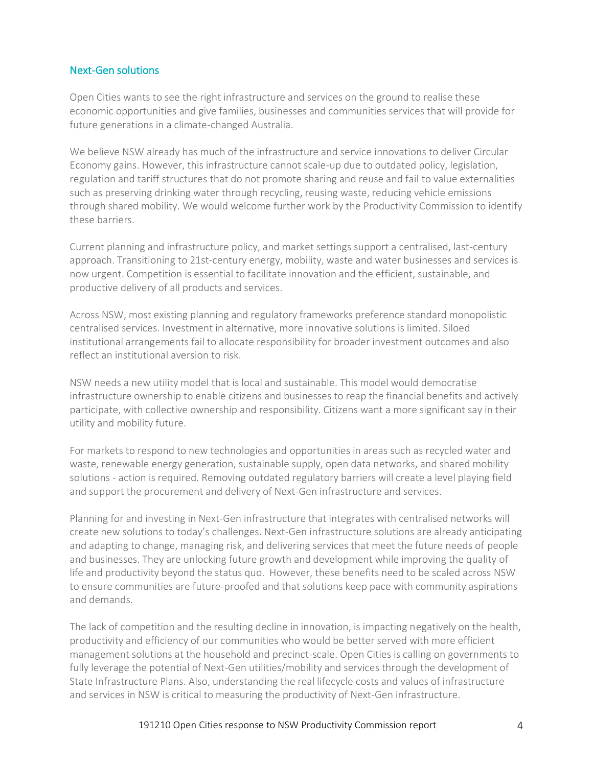### Next-Gen solutions

Open Cities wants to see the right infrastructure and services on the ground to realise these economic opportunities and give families, businesses and communities services that will provide for future generations in a climate-changed Australia.

We believe NSW already has much of the infrastructure and service innovations to deliver Circular Economy gains. However, this infrastructure cannot scale-up due to outdated policy, legislation, regulation and tariff structures that do not promote sharing and reuse and fail to value externalities such as preserving drinking water through recycling, reusing waste, reducing vehicle emissions through shared mobility. We would welcome further work by the Productivity Commission to identify these barriers.

Current planning and infrastructure policy, and market settings support a centralised, last-century approach. Transitioning to 21st-century energy, mobility, waste and water businesses and services is now urgent. Competition is essential to facilitate innovation and the efficient, sustainable, and productive delivery of all products and services.

Across NSW, most existing planning and regulatory frameworks preference standard monopolistic centralised services. Investment in alternative, more innovative solutions is limited. Siloed institutional arrangements fail to allocate responsibility for broader investment outcomes and also reflect an institutional aversion to risk.

NSW needs a new utility model that is local and sustainable. This model would democratise infrastructure ownership to enable citizens and businesses to reap the financial benefits and actively participate, with collective ownership and responsibility. Citizens want a more significant say in their utility and mobility future.

For markets to respond to new technologies and opportunities in areas such as recycled water and waste, renewable energy generation, sustainable supply, open data networks, and shared mobility solutions - action is required. Removing outdated regulatory barriers will create a level playing field and support the procurement and delivery of Next-Gen infrastructure and services.

Planning for and investing in Next-Gen infrastructure that integrates with centralised networks will create new solutions to today's challenges. Next-Gen infrastructure solutions are already anticipating and adapting to change, managing risk, and delivering services that meet the future needs of people and businesses. They are unlocking future growth and development while improving the quality of life and productivity beyond the status quo. However, these benefits need to be scaled across NSW to ensure communities are future-proofed and that solutions keep pace with community aspirations and demands.

The lack of competition and the resulting decline in innovation, is impacting negatively on the health, productivity and efficiency of our communities who would be better served with more efficient management solutions at the household and precinct-scale. Open Cities is calling on governments to fully leverage the potential of Next-Gen utilities/mobility and services through the development of State Infrastructure Plans. Also, understanding the real lifecycle costs and values of infrastructure and services in NSW is critical to measuring the productivity of Next-Gen infrastructure.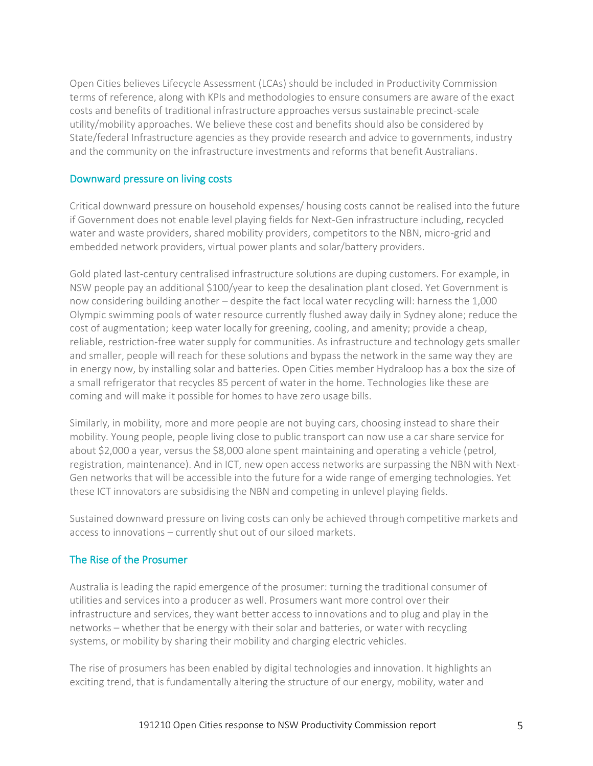Open Cities believes Lifecycle Assessment (LCAs) should be included in Productivity Commission terms of reference, along with KPIs and methodologies to ensure consumers are aware of the exact costs and benefits of traditional infrastructure approaches versus sustainable precinct-scale utility/mobility approaches. We believe these cost and benefits should also be considered by State/federal Infrastructure agencies as they provide research and advice to governments, industry and the community on the infrastructure investments and reforms that benefit Australians.

# Downward pressure on living costs

Critical downward pressure on household expenses/ housing costs cannot be realised into the future if Government does not enable level playing fields for Next-Gen infrastructure including, recycled water and waste providers, shared mobility providers, competitors to the NBN, micro-grid and embedded network providers, virtual power plants and solar/battery providers.

Gold plated last-century centralised infrastructure solutions are duping customers. For example, in NSW people pay an additional \$100/year to keep the desalination plant closed. Yet Government is now considering building another – despite the fact local water recycling will: harness the 1,000 Olympic swimming pools of water resource currently flushed away daily in Sydney alone; reduce the cost of augmentation; keep water locally for greening, cooling, and amenity; provide a cheap, reliable, restriction-free water supply for communities. As infrastructure and technology gets smaller and smaller, people will reach for these solutions and bypass the network in the same way they are in energy now, by installing solar and batteries. Open Cities member Hydraloop has a box the size of a small refrigerator that recycles 85 percent of water in the home. Technologies like these are coming and will make it possible for homes to have zero usage bills.

Similarly, in mobility, more and more people are not buying cars, choosing instead to share their mobility. Young people, people living close to public transport can now use a car share service for about \$2,000 a year, versus the \$8,000 alone spent maintaining and operating a vehicle (petrol, registration, maintenance). And in ICT, new open access networks are surpassing the NBN with Next-Gen networks that will be accessible into the future for a wide range of emerging technologies. Yet these ICT innovators are subsidising the NBN and competing in unlevel playing fields.

Sustained downward pressure on living costs can only be achieved through competitive markets and access to innovations – currently shut out of our siloed markets.

### The Rise of the Prosumer

Australia is leading the rapid emergence of the prosumer: turning the traditional consumer of utilities and services into a producer as well. Prosumers want more control over their infrastructure and services, they want better access to innovations and to plug and play in the networks – whether that be energy with their solar and batteries, or water with recycling systems, or mobility by sharing their mobility and charging electric vehicles.

The rise of prosumers has been enabled by digital technologies and innovation. It highlights an exciting trend, that is fundamentally altering the structure of our energy, mobility, water and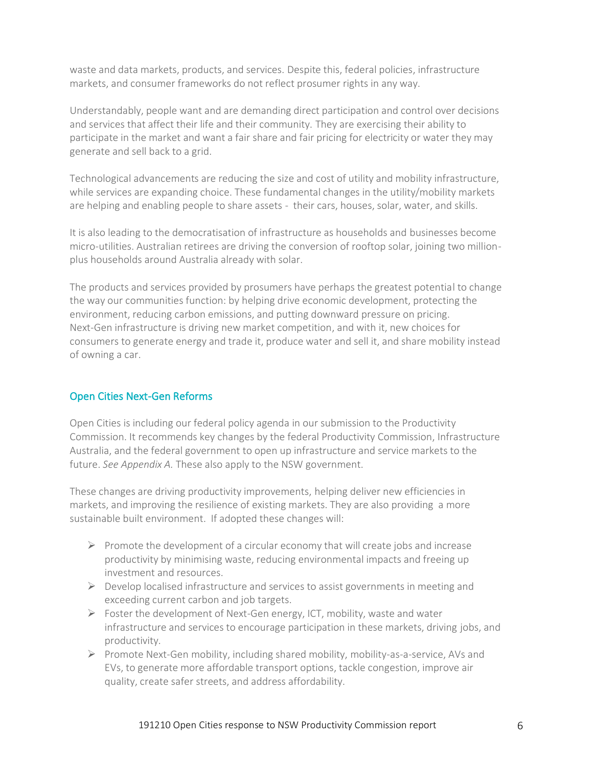waste and data markets, products, and services. Despite this, federal policies, infrastructure markets, and consumer frameworks do not reflect prosumer rights in any way.

Understandably, people want and are demanding direct participation and control over decisions and services that affect their life and their community. They are exercising their ability to participate in the market and want a fair share and fair pricing for electricity or water they may generate and sell back to a grid.

Technological advancements are reducing the size and cost of utility and mobility infrastructure, while services are expanding choice. These fundamental changes in the utility/mobility markets are helping and enabling people to share assets - their cars, houses, solar, water, and skills.

It is also leading to the democratisation of infrastructure as households and businesses become micro-utilities. Australian retirees are driving the conversion of rooftop solar, joining two millionplus households around Australia already with solar.

The products and services provided by prosumers have perhaps the greatest potential to change the way our communities function: by helping drive economic development, protecting the environment, reducing carbon emissions, and putting downward pressure on pricing. Next-Gen infrastructure is driving new market competition, and with it, new choices for consumers to generate energy and trade it, produce water and sell it, and share mobility instead of owning a car.

# Open Cities Next-Gen Reforms

Open Cities is including our federal policy agenda in our submission to the Productivity Commission. It recommends key changes by the federal Productivity Commission, Infrastructure Australia, and the federal government to open up infrastructure and service markets to the future. *See Appendix A.* These also apply to the NSW government.

These changes are driving productivity improvements, helping deliver new efficiencies in markets, and improving the resilience of existing markets. They are also providing a more sustainable built environment. If adopted these changes will:

- $\triangleright$  Promote the development of a circular economy that will create jobs and increase productivity by minimising waste, reducing environmental impacts and freeing up investment and resources.
- $\triangleright$  Develop localised infrastructure and services to assist governments in meeting and exceeding current carbon and job targets.
- $\triangleright$  Foster the development of Next-Gen energy, ICT, mobility, waste and water infrastructure and services to encourage participation in these markets, driving jobs, and productivity.
- ➢ Promote Next-Gen mobility, including shared mobility, mobility-as-a-service, AVs and EVs, to generate more affordable transport options, tackle congestion, improve air quality, create safer streets, and address affordability.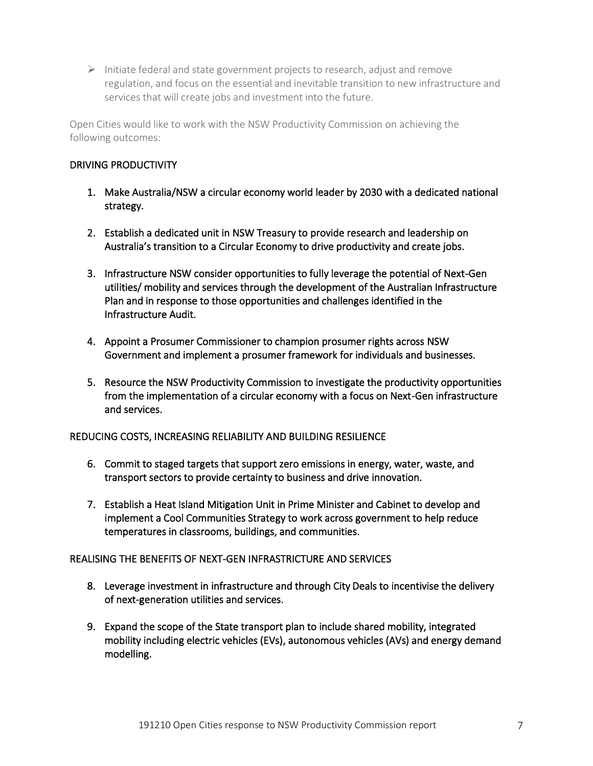$\triangleright$  Initiate federal and state government projects to research, adjust and remove regulation, and focus on the essential and inevitable transition to new infrastructure and services that will create jobs and investment into the future.

Open Cities would like to work with the NSW Productivity Commission on achieving the following outcomes:

# DRIVING PRODUCTIVITY

- 1. Make Australia/NSW a circular economy world leader by 2030 with a dedicated national strategy.
- 2. Establish a dedicated unit in NSW Treasury to provide research and leadership on Australia's transition to a Circular Economy to drive productivity and create jobs.
- 3. Infrastructure NSW consider opportunities to fully leverage the potential of Next-Gen utilities/ mobility and services through the development of the Australian Infrastructure Plan and in response to those opportunities and challenges identified in the Infrastructure Audit.
- 4. Appoint a Prosumer Commissioner to champion prosumer rights across NSW Government and implement a prosumer framework for individuals and businesses.
- 5. Resource the NSW Productivity Commission to investigate the productivity opportunities from the implementation of a circular economy with a focus on Next-Gen infrastructure and services.

### REDUCING COSTS, INCREASING RELIABILITY AND BUILDING RESILIENCE

- 6. Commit to staged targets that support zero emissions in energy, water, waste, and transport sectors to provide certainty to business and drive innovation.
- 7. Establish a Heat Island Mitigation Unit in Prime Minister and Cabinet to develop and implement a Cool Communities Strategy to work across government to help reduce temperatures in classrooms, buildings, and communities.

### REALISING THE BENEFITS OF NEXT-GEN INFRASTRICTURE AND SERVICES

- 8. Leverage investment in infrastructure and through City Deals to incentivise the delivery of next-generation utilities and services.
- 9. Expand the scope of the State transport plan to include shared mobility, integrated mobility including electric vehicles (EVs), autonomous vehicles (AVs) and energy demand modelling.